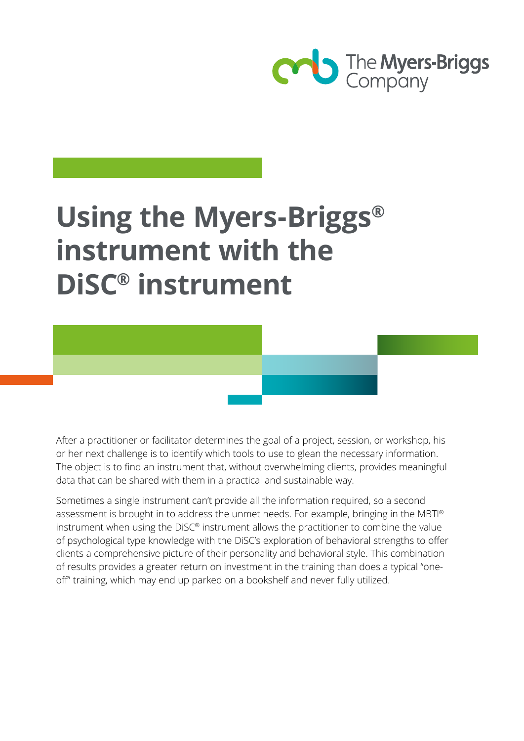

# **Using the Myers-Briggs® instrument with the DiSC® instrument**

After a practitioner or facilitator determines the goal of a project, session, or workshop, his or her next challenge is to identify which tools to use to glean the necessary information. The object is to find an instrument that, without overwhelming clients, provides meaningful data that can be shared with them in a practical and sustainable way.

Sometimes a single instrument can't provide all the information required, so a second assessment is brought in to address the unmet needs. For example, bringing in the MBTI® instrument when using the DiSC® instrument allows the practitioner to combine the value of psychological type knowledge with the DiSC's exploration of behavioral strengths to offer clients a comprehensive picture of their personality and behavioral style. This combination of results provides a greater return on investment in the training than does a typical "oneoff" training, which may end up parked on a bookshelf and never fully utilized.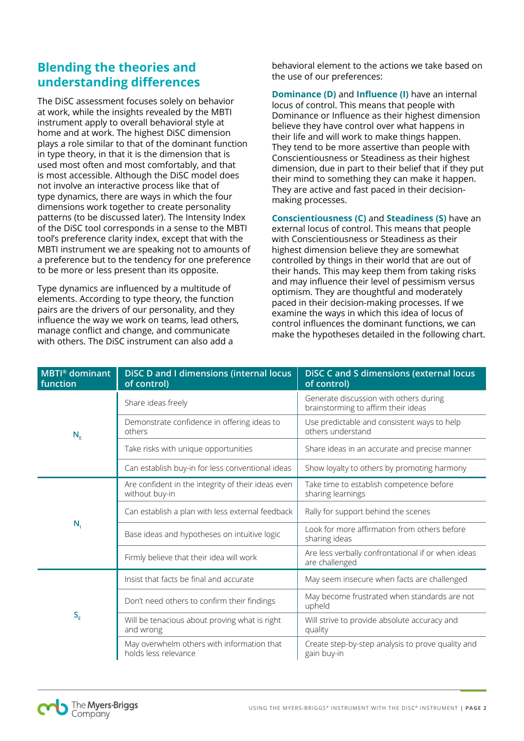## **Blending the theories and understanding differences**

The DiSC assessment focuses solely on behavior at work, while the insights revealed by the MBTI instrument apply to overall behavioral style at home and at work. The highest DiSC dimension plays a role similar to that of the dominant function in type theory, in that it is the dimension that is used most often and most comfortably, and that is most accessible. Although the DiSC model does not involve an interactive process like that of type dynamics, there are ways in which the four dimensions work together to create personality patterns (to be discussed later). The Intensity Index of the DiSC tool corresponds in a sense to the MBTI tool's preference clarity index, except that with the MBTI instrument we are speaking not to amounts of a preference but to the tendency for one preference to be more or less present than its opposite.

Type dynamics are influenced by a multitude of elements. According to type theory, the function pairs are the drivers of our personality, and they influence the way we work on teams, lead others, manage conflict and change, and communicate with others. The DiSC instrument can also add a

behavioral element to the actions we take based on the use of our preferences:

**Dominance (D)** and **Influence (I)** have an internal locus of control. This means that people with Dominance or Influence as their highest dimension believe they have control over what happens in their life and will work to make things happen. They tend to be more assertive than people with Conscientiousness or Steadiness as their highest dimension, due in part to their belief that if they put their mind to something they can make it happen. They are active and fast paced in their decisionmaking processes.

**Conscientiousness (C)** and **Steadiness (S)** have an external locus of control. This means that people with Conscientiousness or Steadiness as their highest dimension believe they are somewhat controlled by things in their world that are out of their hands. This may keep them from taking risks and may influence their level of pessimism versus optimism. They are thoughtful and moderately paced in their decision-making processes. If we examine the ways in which this idea of locus of control influences the dominant functions, we can make the hypotheses detailed in the following chart.

| <b>MBTI®</b> dominant<br>function             | DISC D and I dimensions (internal locus<br>of control)               | <b>DISC C and S dimensions (external locus</b><br>of control)                 |  |  |
|-----------------------------------------------|----------------------------------------------------------------------|-------------------------------------------------------------------------------|--|--|
| $N_F$                                         | Share ideas freely                                                   | Generate discussion with others during<br>brainstorming to affirm their ideas |  |  |
|                                               | Demonstrate confidence in offering ideas to<br>others                | Use predictable and consistent ways to help<br>others understand              |  |  |
|                                               | Take risks with unique opportunities                                 | Share ideas in an accurate and precise manner                                 |  |  |
|                                               | Can establish buy-in for less conventional ideas                     | Show loyalty to others by promoting harmony                                   |  |  |
| $N_{i}$                                       | Are confident in the integrity of their ideas even<br>without buy-in | Take time to establish competence before<br>sharing learnings                 |  |  |
|                                               | Can establish a plan with less external feedback                     | Rally for support behind the scenes                                           |  |  |
|                                               | Base ideas and hypotheses on intuitive logic                         | Look for more affirmation from others before<br>sharing ideas                 |  |  |
|                                               | Firmly believe that their idea will work                             | Are less verbally confrontational if or when ideas<br>are challenged          |  |  |
| $\mathsf{S}_{\scriptscriptstyle{\mathsf{E}}}$ | Insist that facts be final and accurate                              | May seem insecure when facts are challenged                                   |  |  |
|                                               | Don't need others to confirm their findings                          | May become frustrated when standards are not<br>upheld                        |  |  |
|                                               | Will be tenacious about proving what is right<br>and wrong           | Will strive to provide absolute accuracy and<br>quality                       |  |  |
|                                               | May overwhelm others with information that<br>holds less relevance   | Create step-by-step analysis to prove quality and<br>gain buy-in              |  |  |

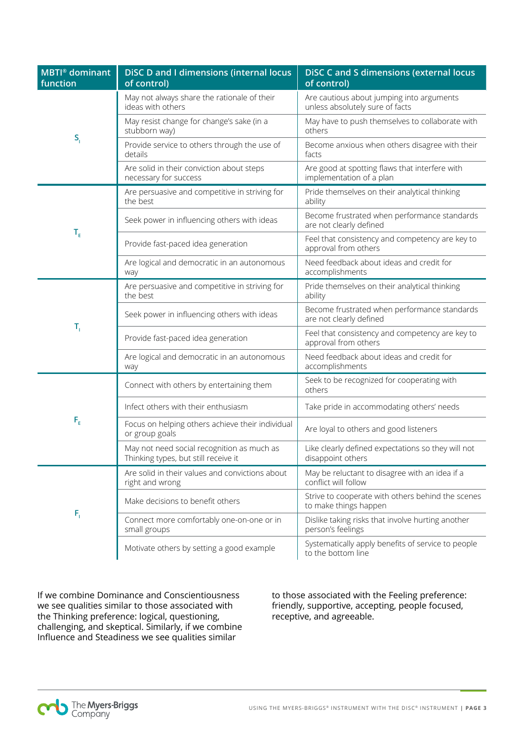| <b>MBTI®</b> dominant<br>function | DISC D and I dimensions (internal locus<br>of control)                             | <b>DISC C and S dimensions (external locus</b><br>of control)                |  |  |
|-----------------------------------|------------------------------------------------------------------------------------|------------------------------------------------------------------------------|--|--|
| $S_{i}$                           | May not always share the rationale of their<br>ideas with others                   | Are cautious about jumping into arguments<br>unless absolutely sure of facts |  |  |
|                                   | May resist change for change's sake (in a<br>stubborn way)                         | May have to push themselves to collaborate with<br>others                    |  |  |
|                                   | Provide service to others through the use of<br>details                            | Become anxious when others disagree with their<br>facts                      |  |  |
|                                   | Are solid in their conviction about steps<br>necessary for success                 | Are good at spotting flaws that interfere with<br>implementation of a plan   |  |  |
| $\mathsf{T}_{\varepsilon}$        | Are persuasive and competitive in striving for<br>the best                         | Pride themselves on their analytical thinking<br>ability                     |  |  |
|                                   | Seek power in influencing others with ideas                                        | Become frustrated when performance standards<br>are not clearly defined      |  |  |
|                                   | Provide fast-paced idea generation                                                 | Feel that consistency and competency are key to<br>approval from others      |  |  |
|                                   | Are logical and democratic in an autonomous<br>way                                 | Need feedback about ideas and credit for<br>accomplishments                  |  |  |
| T,                                | Are persuasive and competitive in striving for<br>the best                         | Pride themselves on their analytical thinking<br>ability                     |  |  |
|                                   | Seek power in influencing others with ideas                                        | Become frustrated when performance standards<br>are not clearly defined      |  |  |
|                                   | Provide fast-paced idea generation                                                 | Feel that consistency and competency are key to<br>approval from others      |  |  |
|                                   | Are logical and democratic in an autonomous<br>way                                 | Need feedback about ideas and credit for<br>accomplishments                  |  |  |
| $\mathsf{F}_{\varepsilon}$        | Connect with others by entertaining them                                           | Seek to be recognized for cooperating with<br>others                         |  |  |
|                                   | Infect others with their enthusiasm                                                | Take pride in accommodating others' needs                                    |  |  |
|                                   | Focus on helping others achieve their individual<br>or group goals                 | Are loyal to others and good listeners                                       |  |  |
|                                   | May not need social recognition as much as<br>Thinking types, but still receive it | Like clearly defined expectations so they will not<br>disappoint others      |  |  |
| $F_{\rm i}$                       | Are solid in their values and convictions about<br>right and wrong                 | May be reluctant to disagree with an idea if a<br>conflict will follow       |  |  |
|                                   | Make decisions to benefit others                                                   | Strive to cooperate with others behind the scenes<br>to make things happen   |  |  |
|                                   | Connect more comfortably one-on-one or in<br>small groups                          | Dislike taking risks that involve hurting another<br>person's feelings       |  |  |
|                                   | Motivate others by setting a good example                                          | Systematically apply benefits of service to people<br>to the bottom line     |  |  |

If we combine Dominance and Conscientiousness we see qualities similar to those associated with the Thinking preference: logical, questioning, challenging, and skeptical. Similarly, if we combine Influence and Steadiness we see qualities similar

to those associated with the Feeling preference: friendly, supportive, accepting, people focused, receptive, and agreeable.

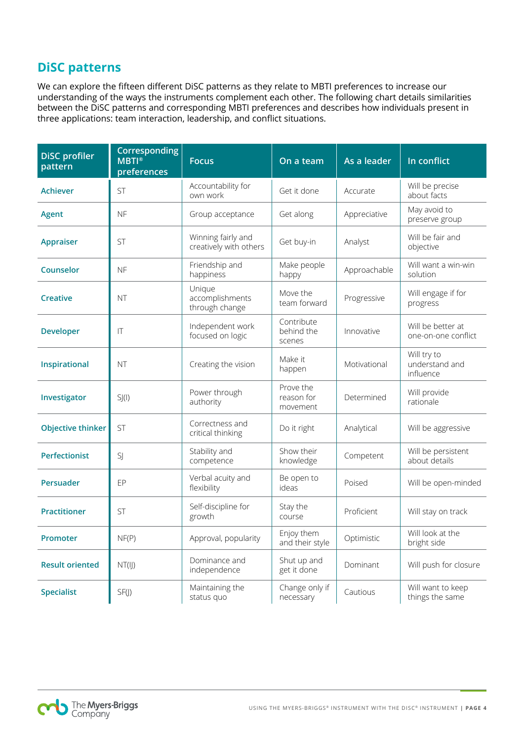#### **DiSC patterns**

We can explore the fifteen different DiSC patterns as they relate to MBTI preferences to increase our understanding of the ways the instruments complement each other. The following chart details similarities between the DiSC patterns and corresponding MBTI preferences and describes how individuals present in three applications: team interaction, leadership, and conflict situations.

| <b>DiSC</b> profiler<br>pattern | <b>Corresponding</b><br>$MBTI^{\circ}$<br>preferences | <b>Focus</b>                                 | On a team                           | As a leader  | In conflict                                |
|---------------------------------|-------------------------------------------------------|----------------------------------------------|-------------------------------------|--------------|--------------------------------------------|
| <b>Achiever</b>                 | <b>ST</b>                                             | Accountability for<br>own work               | Get it done                         | Accurate     | Will be precise<br>about facts             |
| <b>Agent</b>                    | <b>NF</b>                                             | Group acceptance                             | Get along                           | Appreciative | May avoid to<br>preserve group             |
| <b>Appraiser</b>                | <b>ST</b>                                             | Winning fairly and<br>creatively with others | Get buy-in                          | Analyst      | Will be fair and<br>objective              |
| Counselor                       | <b>NF</b>                                             | Friendship and<br>happiness                  | Make people<br>happy                | Approachable | Will want a win-win<br>solution            |
| <b>Creative</b>                 | <b>NT</b>                                             | Unique<br>accomplishments<br>through change  | Move the<br>team forward            | Progressive  | Will engage if for<br>progress             |
| <b>Developer</b>                | T                                                     | Independent work<br>focused on logic         | Contribute<br>behind the<br>scenes  | Innovative   | Will be better at<br>one-on-one conflict   |
| Inspirational                   | <b>NT</b>                                             | Creating the vision                          | Make it<br>happen                   | Motivational | Will try to<br>understand and<br>influence |
| Investigator                    | SJ(I)                                                 | Power through<br>authority                   | Prove the<br>reason for<br>movement | Determined   | Will provide<br>rationale                  |
| <b>Objective thinker</b>        | <b>ST</b>                                             | Correctness and<br>critical thinking         | Do it right                         | Analytical   | Will be aggressive                         |
| <b>Perfectionist</b>            | SJ                                                    | Stability and<br>competence                  | Show their<br>knowledge             | Competent    | Will be persistent<br>about details        |
| Persuader                       | EP                                                    | Verbal acuity and<br>flexibility             | Be open to<br>ideas                 | Poised       | Will be open-minded                        |
| <b>Practitioner</b>             | <b>ST</b>                                             | Self-discipline for<br>growth                | Stay the<br>course                  | Proficient   | Will stay on track                         |
| Promoter                        | NF(P)                                                 | Approval, popularity                         | Enjoy them<br>and their style       | Optimistic   | Will look at the<br>bright side            |
| <b>Result oriented</b>          | NT(II)                                                | Dominance and<br>independence                | Shut up and<br>get it done          | Dominant     | Will push for closure                      |
| <b>Specialist</b>               | SF(J)                                                 | Maintaining the<br>status quo                | Change only if<br>necessary         | Cautious     | Will want to keep<br>things the same       |

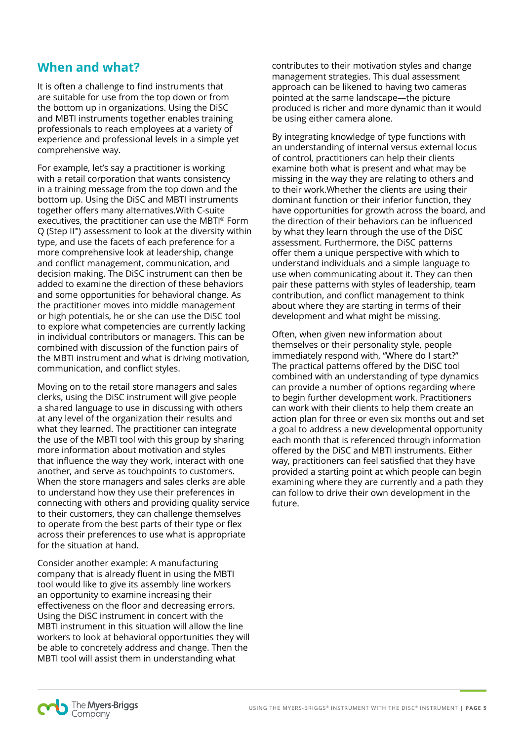## **When and what?**

It is often a challenge to find instruments that are suitable for use from the top down or from the bottom up in organizations. Using the DiSC and MBTI instruments together enables training professionals to reach employees at a variety of experience and professional levels in a simple yet comprehensive way.

For example, let's say a practitioner is working with a retail corporation that wants consistency in a training message from the top down and the bottom up. Using the DiSC and MBTI instruments together offers many alternatives.With C-suite executives, the practitioner can use the MBTI® Form Q (Step II™) assessment to look at the diversity within type, and use the facets of each preference for a more comprehensive look at leadership, change and conflict management, communication, and decision making. The DiSC instrument can then be added to examine the direction of these behaviors and some opportunities for behavioral change. As the practitioner moves into middle management or high potentials, he or she can use the DiSC tool to explore what competencies are currently lacking in individual contributors or managers. This can be combined with discussion of the function pairs of the MBTI instrument and what is driving motivation, communication, and conflict styles.

Moving on to the retail store managers and sales clerks, using the DiSC instrument will give people a shared language to use in discussing with others at any level of the organization their results and what they learned. The practitioner can integrate the use of the MBTI tool with this group by sharing more information about motivation and styles that influence the way they work, interact with one another, and serve as touchpoints to customers. When the store managers and sales clerks are able to understand how they use their preferences in connecting with others and providing quality service to their customers, they can challenge themselves to operate from the best parts of their type or flex across their preferences to use what is appropriate for the situation at hand.

Consider another example: A manufacturing company that is already fluent in using the MBTI tool would like to give its assembly line workers an opportunity to examine increasing their effectiveness on the floor and decreasing errors. Using the DiSC instrument in concert with the MBTI instrument in this situation will allow the line workers to look at behavioral opportunities they will be able to concretely address and change. Then the MBTI tool will assist them in understanding what

contributes to their motivation styles and change management strategies. This dual assessment approach can be likened to having two cameras pointed at the same landscape—the picture produced is richer and more dynamic than it would be using either camera alone.

By integrating knowledge of type functions with an understanding of internal versus external locus of control, practitioners can help their clients examine both what is present and what may be missing in the way they are relating to others and to their work.Whether the clients are using their dominant function or their inferior function, they have opportunities for growth across the board, and the direction of their behaviors can be influenced by what they learn through the use of the DiSC assessment. Furthermore, the DiSC patterns offer them a unique perspective with which to understand individuals and a simple language to use when communicating about it. They can then pair these patterns with styles of leadership, team contribution, and conflict management to think about where they are starting in terms of their development and what might be missing.

Often, when given new information about themselves or their personality style, people immediately respond with, "Where do I start?" The practical patterns offered by the DiSC tool combined with an understanding of type dynamics can provide a number of options regarding where to begin further development work. Practitioners can work with their clients to help them create an action plan for three or even six months out and set a goal to address a new developmental opportunity each month that is referenced through information offered by the DiSC and MBTI instruments. Either way, practitioners can feel satisfied that they have provided a starting point at which people can begin examining where they are currently and a path they can follow to drive their own development in the future.